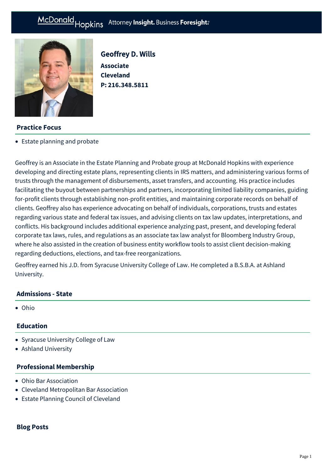

Geoffrey D. Wills **Associate Cleveland P: [216.348.5811](tel:216.348.5811)**

## **Practice Focus**

[Estate planning and probate](https://mcdonaldhopkins.com/Expertise/Estate-planning-and-probate)

Geoffrey is an Associate in the Estate Planning and Probate group at McDonald Hopkins with experience developing and directing estate plans, representing clients in IRS matters, and administering various forms of trusts through the management of disbursements, asset transfers, and accounting. His practice includes facilitating the buyout between partnerships and partners, incorporating limited liability companies, guiding for-profit clients through establishing non-profit entities, and maintaining corporate records on behalf of clients. Geoffrey also has experience advocating on behalf of individuals, corporations, trusts and estates regarding various state and federal tax issues, and advising clients on tax law updates, interpretations, and conflicts. His background includes additional experience analyzing past, present, and developing federal corporate tax laws, rules, and regulations as an associate tax law analyst for Bloomberg Industry Group, where he also assisted in the creation of business entity workflow tools to assist client decision-making regarding deductions, elections, and tax-free reorganizations.

Geoffrey earned his J.D. from Syracuse University College of Law. He completed a B.S.B.A. at Ashland University.

### **Admissions - State**

Ohio

## **Education**

- Syracuse University College of Law
- Ashland University

### **Professional Membership**

- Ohio Bar Association
- Cleveland Metropolitan Bar Association
- Estate Planning Council of Cleveland

# **Blog Posts**